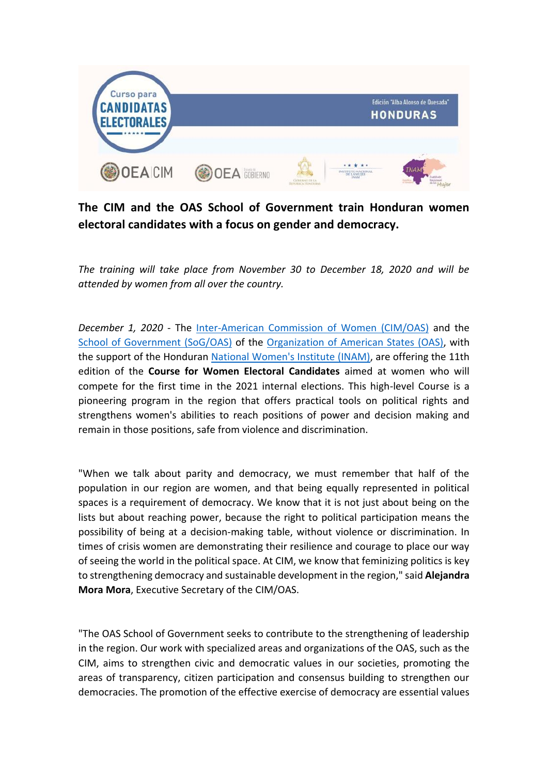

## **The CIM and the OAS School of Government train Honduran women electoral candidates with a focus on gender and democracy.**

*The training will take place from November 30 to December 18, 2020 and will be attended by women from all over the country.*

*December 1, 2020* - The [Inter-American Commission of Women \(CIM/OAS\)](http://www.oas.org/en/cim/default.asp) and the [School of Government \(SoG/OAS\)](http://www.oas.org/en/spa/depm/escuelagob/) of the [Organization of American States \(OAS\),](http://www.oas.org/en/default.asp) with the support of the Honduran [National Women's Institute \(INAM\),](http://www.inam.gob.hn/) are offering the 11th edition of the **Course for Women Electoral Candidates** aimed at women who will compete for the first time in the 2021 internal elections. This high-level Course is a pioneering program in the region that offers practical tools on political rights and strengthens women's abilities to reach positions of power and decision making and remain in those positions, safe from violence and discrimination.

"When we talk about parity and democracy, we must remember that half of the population in our region are women, and that being equally represented in political spaces is a requirement of democracy. We know that it is not just about being on the lists but about reaching power, because the right to political participation means the possibility of being at a decision-making table, without violence or discrimination. In times of crisis women are demonstrating their resilience and courage to place our way of seeing the world in the political space. At CIM, we know that feminizing politics is key to strengthening democracy and sustainable development in the region," said **Alejandra Mora Mora**, Executive Secretary of the CIM/OAS.

"The OAS School of Government seeks to contribute to the strengthening of leadership in the region. Our work with specialized areas and organizations of the OAS, such as the CIM, aims to strengthen civic and democratic values in our societies, promoting the areas of transparency, citizen participation and consensus building to strengthen our democracies. The promotion of the effective exercise of democracy are essential values